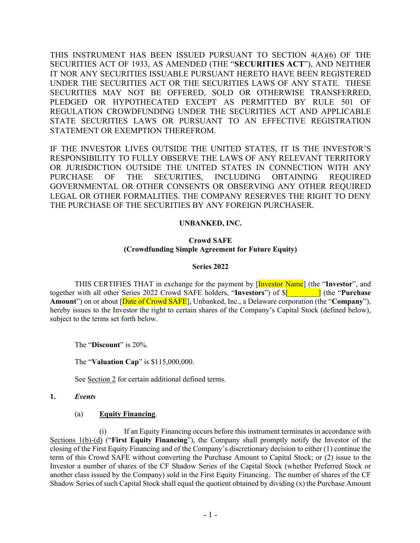THIS INSTRUMENT HAS BEEN ISSUED PURSUANT TO SECTION 4(A)(6) OF THE SECURITIES ACT OF 1933, AS AMENDED (THE "**SECURITIES ACT**"), AND NEITHER IT NOR ANY SECURITIES ISSUABLE PURSUANT HERETO HAVE BEEN REGISTERED UNDER THE SECURITIES ACT OR THE SECURITIES LAWS OF ANY STATE. THESE SECURITIES MAY NOT BE OFFERED, SOLD OR OTHERWISE TRANSFERRED, PLEDGED OR HYPOTHECATED EXCEPT AS PERMITTED BY RULE 501 OF REGULATION CROWDFUNDING UNDER THE SECURITIES ACT AND APPLICABLE STATE SECURITIES LAWS OR PURSUANT TO AN EFFECTIVE REGISTRATION STATEMENT OR EXEMPTION THEREFROM.

IF THE INVESTOR LIVES OUTSIDE THE UNITED STATES, IT IS THE INVESTOR'S RESPONSIBILITY TO FULLY OBSERVE THE LAWS OF ANY RELEVANT TERRITORY OR JURISDICTION OUTSIDE THE UNITED STATES IN CONNECTION WITH ANY PURCHASE OF THE SECURITIES, INCLUDING OBTAINING REQUIRED GOVERNMENTAL OR OTHER CONSENTS OR OBSERVING ANY OTHER REQUIRED LEGAL OR OTHER FORMALITIES. THE COMPANY RESERVES THE RIGHT TO DENY THE PURCHASE OF THE SECURITIES BY ANY FOREIGN PURCHASER.

## **UNBANKED, INC.**

### **Crowd SAFE (Crowdfunding Simple Agreement for Future Equity)**

#### **Series 2022**

THIS CERTIFIES THAT in exchange for the payment by [Investor Name] (the "**Investor**", and together with all other Series 2022 Crowd SAFE holders, "**Investors**") of \$[*\_\_\_\_\_\_\_\_*] (the "**Purchase Amount**") on or about [Date of Crowd SAFE], Unbanked, Inc., a Delaware corporation (the "**Company**"), hereby issues to the Investor the right to certain shares of the Company's Capital Stock (defined below), subject to the terms set forth below.

The "**Discount**" is 20%.

The "**Valuation Cap**" is \$115,000,000.

See Section 2 for certain additional defined terms.

#### **1.** *Events*

## (a) **Equity Financing**.

(i) If an Equity Financing occurs before this instrument terminates in accordance with Sections 1(b)-(d) ("**First Equity Financing**"), the Company shall promptly notify the Investor of the closing of the First Equity Financing and of the Company's discretionary decision to either (1) continue the term of this Crowd SAFE without converting the Purchase Amount to Capital Stock; or (2) issue to the Investor a number of shares of the CF Shadow Series of the Capital Stock (whether Preferred Stock or another class issued by the Company) sold in the First Equity Financing. The number of shares of the CF Shadow Series of such Capital Stock shall equal the quotient obtained by dividing (x) the Purchase Amount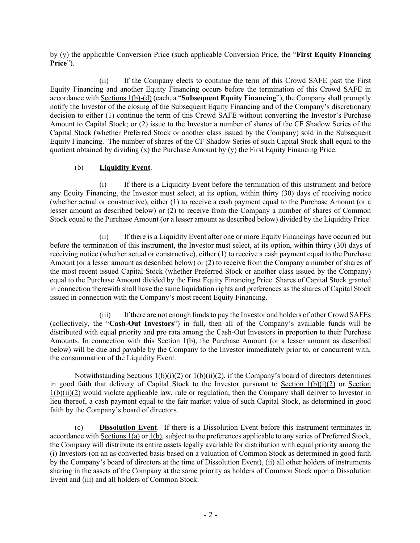by (y) the applicable Conversion Price (such applicable Conversion Price, the "**First Equity Financing Price**").

(ii) If the Company elects to continue the term of this Crowd SAFE past the First Equity Financing and another Equity Financing occurs before the termination of this Crowd SAFE in accordance with Sections 1(b)-(d) (each, a "**Subsequent Equity Financing**"), the Company shall promptly notify the Investor of the closing of the Subsequent Equity Financing and of the Company's discretionary decision to either (1) continue the term of this Crowd SAFE without converting the Investor's Purchase Amount to Capital Stock; or (2) issue to the Investor a number of shares of the CF Shadow Series of the Capital Stock (whether Preferred Stock or another class issued by the Company) sold in the Subsequent Equity Financing. The number of shares of the CF Shadow Series of such Capital Stock shall equal to the quotient obtained by dividing (x) the Purchase Amount by (y) the First Equity Financing Price.

# (b) **Liquidity Event**.

(i) If there is a Liquidity Event before the termination of this instrument and before any Equity Financing, the Investor must select, at its option, within thirty (30) days of receiving notice (whether actual or constructive), either (1) to receive a cash payment equal to the Purchase Amount (or a lesser amount as described below) or (2) to receive from the Company a number of shares of Common Stock equal to the Purchase Amount (or a lesser amount as described below) divided by the Liquidity Price.

(ii) If there is a Liquidity Event after one or more Equity Financings have occurred but before the termination of this instrument, the Investor must select, at its option, within thirty (30) days of receiving notice (whether actual or constructive), either (1) to receive a cash payment equal to the Purchase Amount (or a lesser amount as described below) or (2) to receive from the Company a number of shares of the most recent issued Capital Stock (whether Preferred Stock or another class issued by the Company) equal to the Purchase Amount divided by the First Equity Financing Price. Shares of Capital Stock granted in connection therewith shall have the same liquidation rights and preferences as the shares of Capital Stock issued in connection with the Company's most recent Equity Financing.

(iii) If there are not enough funds to pay the Investor and holders of other Crowd SAFEs (collectively, the "**Cash-Out Investors**") in full, then all of the Company's available funds will be distributed with equal priority and pro rata among the Cash-Out Investors in proportion to their Purchase Amounts. In connection with this Section 1(b), the Purchase Amount (or a lesser amount as described below) will be due and payable by the Company to the Investor immediately prior to, or concurrent with, the consummation of the Liquidity Event.

Notwithstanding Sections  $1(b)(i)(2)$  or  $1(b)(ii)(2)$ , if the Company's board of directors determines in good faith that delivery of Capital Stock to the Investor pursuant to Section 1(b)(i)(2) or Section 1(b)(ii)(2) would violate applicable law, rule or regulation, then the Company shall deliver to Investor in lieu thereof, a cash payment equal to the fair market value of such Capital Stock, as determined in good faith by the Company's board of directors.

(c) **Dissolution Event**. If there is a Dissolution Event before this instrument terminates in accordance with Sections 1(a) or 1(b), subject to the preferences applicable to any series of Preferred Stock, the Company will distribute its entire assets legally available for distribution with equal priority among the (i) Investors (on an as converted basis based on a valuation of Common Stock as determined in good faith by the Company's board of directors at the time of Dissolution Event), (ii) all other holders of instruments sharing in the assets of the Company at the same priority as holders of Common Stock upon a Dissolution Event and (iii) and all holders of Common Stock.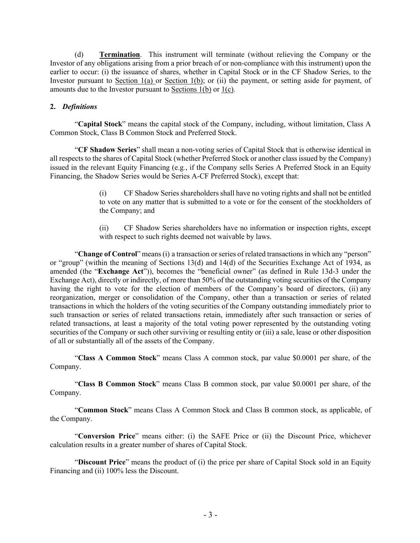(d) **Termination**. This instrument will terminate (without relieving the Company or the Investor of any obligations arising from a prior breach of or non-compliance with this instrument) upon the earlier to occur: (i) the issuance of shares, whether in Capital Stock or in the CF Shadow Series, to the Investor pursuant to Section 1(a) or Section 1(b); or (ii) the payment, or setting aside for payment, of amounts due to the Investor pursuant to Sections  $1(b)$  or  $1(c)$ .

## **2.** *Definitions*

"**Capital Stock**" means the capital stock of the Company, including, without limitation, Class A Common Stock, Class B Common Stock and Preferred Stock.

"**CF Shadow Series**" shall mean a non-voting series of Capital Stock that is otherwise identical in all respects to the shares of Capital Stock (whether Preferred Stock or another class issued by the Company) issued in the relevant Equity Financing (e.g*.*, if the Company sells Series A Preferred Stock in an Equity Financing, the Shadow Series would be Series A-CF Preferred Stock), except that:

> (i) CF Shadow Series shareholders shall have no voting rights and shall not be entitled to vote on any matter that is submitted to a vote or for the consent of the stockholders of the Company; and

> (ii) CF Shadow Series shareholders have no information or inspection rights, except with respect to such rights deemed not waivable by laws.

"**Change of Control**" means (i) a transaction or series of related transactions in which any "person" or "group" (within the meaning of Sections 13(d) and 14(d) of the Securities Exchange Act of 1934, as amended (the "**Exchange Act**")), becomes the "beneficial owner" (as defined in Rule 13d-3 under the Exchange Act), directly or indirectly, of more than 50% of the outstanding voting securities of the Company having the right to vote for the election of members of the Company's board of directors, (ii) any reorganization, merger or consolidation of the Company, other than a transaction or series of related transactions in which the holders of the voting securities of the Company outstanding immediately prior to such transaction or series of related transactions retain, immediately after such transaction or series of related transactions, at least a majority of the total voting power represented by the outstanding voting securities of the Company or such other surviving or resulting entity or (iii) a sale, lease or other disposition of all or substantially all of the assets of the Company.

"**Class A Common Stock**" means Class A common stock, par value \$0.0001 per share, of the Company.

"**Class B Common Stock**" means Class B common stock, par value \$0.0001 per share, of the Company.

"**Common Stock**" means Class A Common Stock and Class B common stock, as applicable, of the Company.

"**Conversion Price**" means either: (i) the SAFE Price or (ii) the Discount Price, whichever calculation results in a greater number of shares of Capital Stock.

"**Discount Price**" means the product of (i) the price per share of Capital Stock sold in an Equity Financing and (ii) 100% less the Discount.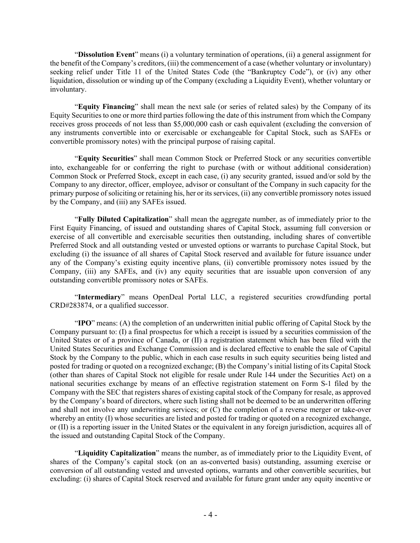"**Dissolution Event**" means (i) a voluntary termination of operations, (ii) a general assignment for the benefit of the Company's creditors, (iii) the commencement of a case (whether voluntary or involuntary) seeking relief under Title 11 of the United States Code (the "Bankruptcy Code"), or (iv) any other liquidation, dissolution or winding up of the Company (excluding a Liquidity Event), whether voluntary or involuntary.

"**Equity Financing**" shall mean the next sale (or series of related sales) by the Company of its Equity Securities to one or more third parties following the date of this instrument from which the Company receives gross proceeds of not less than \$5,000,000 cash or cash equivalent (excluding the conversion of any instruments convertible into or exercisable or exchangeable for Capital Stock, such as SAFEs or convertible promissory notes) with the principal purpose of raising capital.

"**Equity Securities**" shall mean Common Stock or Preferred Stock or any securities convertible into, exchangeable for or conferring the right to purchase (with or without additional consideration) Common Stock or Preferred Stock, except in each case, (i) any security granted, issued and/or sold by the Company to any director, officer, employee, advisor or consultant of the Company in such capacity for the primary purpose of soliciting or retaining his, her or its services, (ii) any convertible promissory notes issued by the Company, and (iii) any SAFEs issued.

"**Fully Diluted Capitalization**" shall mean the aggregate number, as of immediately prior to the First Equity Financing, of issued and outstanding shares of Capital Stock, assuming full conversion or exercise of all convertible and exercisable securities then outstanding, including shares of convertible Preferred Stock and all outstanding vested or unvested options or warrants to purchase Capital Stock, but excluding (i) the issuance of all shares of Capital Stock reserved and available for future issuance under any of the Company's existing equity incentive plans, (ii) convertible promissory notes issued by the Company, (iii) any SAFEs, and (iv) any equity securities that are issuable upon conversion of any outstanding convertible promissory notes or SAFEs.

"**Intermediary**" means OpenDeal Portal LLC, a registered securities crowdfunding portal CRD#283874, or a qualified successor.

"**IPO**" means: (A) the completion of an underwritten initial public offering of Capital Stock by the Company pursuant to: (I) a final prospectus for which a receipt is issued by a securities commission of the United States or of a province of Canada, or (II) a registration statement which has been filed with the United States Securities and Exchange Commission and is declared effective to enable the sale of Capital Stock by the Company to the public, which in each case results in such equity securities being listed and posted for trading or quoted on a recognized exchange; (B) the Company's initial listing of its Capital Stock (other than shares of Capital Stock not eligible for resale under Rule 144 under the Securities Act) on a national securities exchange by means of an effective registration statement on Form S-1 filed by the Company with the SEC that registers shares of existing capital stock of the Company for resale, as approved by the Company's board of directors, where such listing shall not be deemed to be an underwritten offering and shall not involve any underwriting services; or (C) the completion of a reverse merger or take-over whereby an entity (I) whose securities are listed and posted for trading or quoted on a recognized exchange, or (II) is a reporting issuer in the United States or the equivalent in any foreign jurisdiction, acquires all of the issued and outstanding Capital Stock of the Company.

"**Liquidity Capitalization**" means the number, as of immediately prior to the Liquidity Event, of shares of the Company's capital stock (on an as-converted basis) outstanding, assuming exercise or conversion of all outstanding vested and unvested options, warrants and other convertible securities, but excluding: (i) shares of Capital Stock reserved and available for future grant under any equity incentive or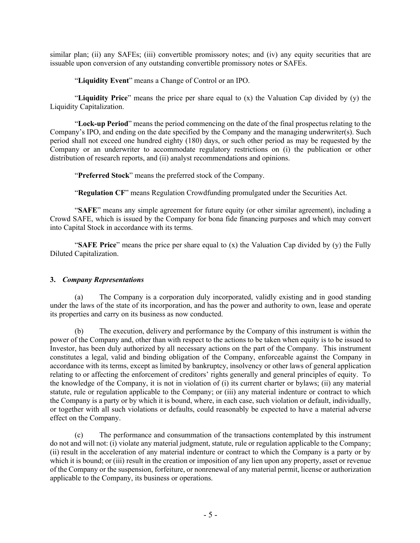similar plan; (ii) any SAFEs; (iii) convertible promissory notes; and (iv) any equity securities that are issuable upon conversion of any outstanding convertible promissory notes or SAFEs.

"**Liquidity Event**" means a Change of Control or an IPO.

"**Liquidity Price**" means the price per share equal to (x) the Valuation Cap divided by (y) the Liquidity Capitalization.

"**Lock-up Period**" means the period commencing on the date of the final prospectus relating to the Company's IPO, and ending on the date specified by the Company and the managing underwriter(s). Such period shall not exceed one hundred eighty (180) days, or such other period as may be requested by the Company or an underwriter to accommodate regulatory restrictions on (i) the publication or other distribution of research reports, and (ii) analyst recommendations and opinions.

"**Preferred Stock**" means the preferred stock of the Company.

"**Regulation CF**" means Regulation Crowdfunding promulgated under the Securities Act.

"**SAFE**" means any simple agreement for future equity (or other similar agreement), including a Crowd SAFE, which is issued by the Company for bona fide financing purposes and which may convert into Capital Stock in accordance with its terms.

"**SAFE Price**" means the price per share equal to (x) the Valuation Cap divided by (y) the Fully Diluted Capitalization.

## **3.** *Company Representations*

(a) The Company is a corporation duly incorporated, validly existing and in good standing under the laws of the state of its incorporation, and has the power and authority to own, lease and operate its properties and carry on its business as now conducted.

(b) The execution, delivery and performance by the Company of this instrument is within the power of the Company and, other than with respect to the actions to be taken when equity is to be issued to Investor, has been duly authorized by all necessary actions on the part of the Company. This instrument constitutes a legal, valid and binding obligation of the Company, enforceable against the Company in accordance with its terms, except as limited by bankruptcy, insolvency or other laws of general application relating to or affecting the enforcement of creditors' rights generally and general principles of equity. To the knowledge of the Company, it is not in violation of (i) its current charter or bylaws; (ii) any material statute, rule or regulation applicable to the Company; or (iii) any material indenture or contract to which the Company is a party or by which it is bound, where, in each case, such violation or default, individually, or together with all such violations or defaults, could reasonably be expected to have a material adverse effect on the Company.

(c) The performance and consummation of the transactions contemplated by this instrument do not and will not: (i) violate any material judgment, statute, rule or regulation applicable to the Company; (ii) result in the acceleration of any material indenture or contract to which the Company is a party or by which it is bound; or (iii) result in the creation or imposition of any lien upon any property, asset or revenue of the Company or the suspension, forfeiture, or nonrenewal of any material permit, license or authorization applicable to the Company, its business or operations.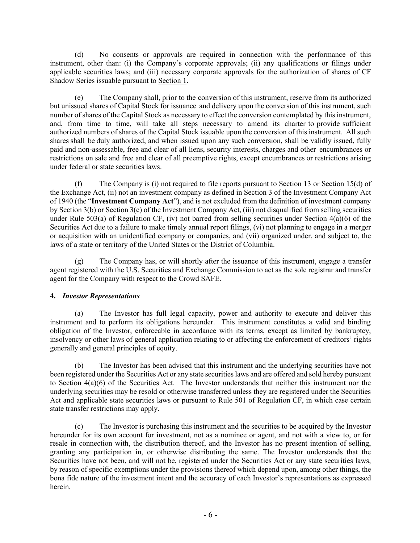(d) No consents or approvals are required in connection with the performance of this instrument, other than: (i) the Company's corporate approvals; (ii) any qualifications or filings under applicable securities laws; and (iii) necessary corporate approvals for the authorization of shares of CF Shadow Series issuable pursuant to Section 1.

(e) The Company shall, prior to the conversion of this instrument, reserve from its authorized but unissued shares of Capital Stock for issuance and delivery upon the conversion of this instrument, such number of shares of the Capital Stock as necessary to effect the conversion contemplated by this instrument, and, from time to time, will take all steps necessary to amend its charter to provide sufficient authorized numbers of shares of the Capital Stock issuable upon the conversion of this instrument. All such shares shall be duly authorized, and when issued upon any such conversion, shall be validly issued, fully paid and non-assessable, free and clear of all liens, security interests, charges and other encumbrances or restrictions on sale and free and clear of all preemptive rights, except encumbrances or restrictions arising under federal or state securities laws.

(f) The Company is (i) not required to file reports pursuant to Section 13 or Section 15(d) of the Exchange Act, (ii) not an investment company as defined in Section 3 of the Investment Company Act of 1940 (the "**Investment Company Act**"), and is not excluded from the definition of investment company by Section 3(b) or Section 3(c) of the Investment Company Act, (iii) not disqualified from selling securities under Rule 503(a) of Regulation CF, (iv) not barred from selling securities under Section  $4(a)(6)$  of the Securities Act due to a failure to make timely annual report filings, (vi) not planning to engage in a merger or acquisition with an unidentified company or companies, and (vii) organized under, and subject to, the laws of a state or territory of the United States or the District of Columbia.

(g) The Company has, or will shortly after the issuance of this instrument, engage a transfer agent registered with the U.S. Securities and Exchange Commission to act as the sole registrar and transfer agent for the Company with respect to the Crowd SAFE.

## **4.** *Investor Representations*

(a) The Investor has full legal capacity, power and authority to execute and deliver this instrument and to perform its obligations hereunder. This instrument constitutes a valid and binding obligation of the Investor, enforceable in accordance with its terms, except as limited by bankruptcy, insolvency or other laws of general application relating to or affecting the enforcement of creditors' rights generally and general principles of equity.

(b) The Investor has been advised that this instrument and the underlying securities have not been registered under the Securities Act or any state securities laws and are offered and sold hereby pursuant to Section 4(a)(6) of the Securities Act. The Investor understands that neither this instrument nor the underlying securities may be resold or otherwise transferred unless they are registered under the Securities Act and applicable state securities laws or pursuant to Rule 501 of Regulation CF, in which case certain state transfer restrictions may apply.

(c) The Investor is purchasing this instrument and the securities to be acquired by the Investor hereunder for its own account for investment, not as a nominee or agent, and not with a view to, or for resale in connection with, the distribution thereof, and the Investor has no present intention of selling, granting any participation in, or otherwise distributing the same. The Investor understands that the Securities have not been, and will not be, registered under the Securities Act or any state securities laws, by reason of specific exemptions under the provisions thereof which depend upon, among other things, the bona fide nature of the investment intent and the accuracy of each Investor's representations as expressed herein.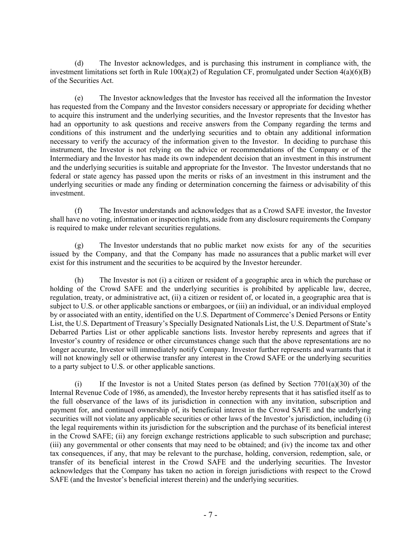(d) The Investor acknowledges, and is purchasing this instrument in compliance with, the investment limitations set forth in Rule 100(a)(2) of Regulation CF, promulgated under Section 4(a)(6)(B) of the Securities Act.

(e) The Investor acknowledges that the Investor has received all the information the Investor has requested from the Company and the Investor considers necessary or appropriate for deciding whether to acquire this instrument and the underlying securities, and the Investor represents that the Investor has had an opportunity to ask questions and receive answers from the Company regarding the terms and conditions of this instrument and the underlying securities and to obtain any additional information necessary to verify the accuracy of the information given to the Investor. In deciding to purchase this instrument, the Investor is not relying on the advice or recommendations of the Company or of the Intermediary and the Investor has made its own independent decision that an investment in this instrument and the underlying securities is suitable and appropriate for the Investor. The Investor understands that no federal or state agency has passed upon the merits or risks of an investment in this instrument and the underlying securities or made any finding or determination concerning the fairness or advisability of this investment.

(f) The Investor understands and acknowledges that as a Crowd SAFE investor, the Investor shall have no voting, information or inspection rights, aside from any disclosure requirements the Company is required to make under relevant securities regulations.

(g) The Investor understands that no public market now exists for any of the securities issued by the Company, and that the Company has made no assurances that a public market will ever exist for this instrument and the securities to be acquired by the Investor hereunder.

(h) The Investor is not (i) a citizen or resident of a geographic area in which the purchase or holding of the Crowd SAFE and the underlying securities is prohibited by applicable law, decree, regulation, treaty, or administrative act, (ii) a citizen or resident of, or located in, a geographic area that is subject to U.S. or other applicable sanctions or embargoes, or (iii) an individual, or an individual employed by or associated with an entity, identified on the U.S. Department of Commerce's Denied Persons or Entity List, the U.S. Department of Treasury's Specially Designated Nationals List, the U.S. Department of State's Debarred Parties List or other applicable sanctions lists. Investor hereby represents and agrees that if Investor's country of residence or other circumstances change such that the above representations are no longer accurate, Investor will immediately notify Company. Investor further represents and warrants that it will not knowingly sell or otherwise transfer any interest in the Crowd SAFE or the underlying securities to a party subject to U.S. or other applicable sanctions.

(i) If the Investor is not a United States person (as defined by Section 7701(a)(30) of the Internal Revenue Code of 1986, as amended), the Investor hereby represents that it has satisfied itself as to the full observance of the laws of its jurisdiction in connection with any invitation, subscription and payment for, and continued ownership of, its beneficial interest in the Crowd SAFE and the underlying securities will not violate any applicable securities or other laws of the Investor's jurisdiction, including (i) the legal requirements within its jurisdiction for the subscription and the purchase of its beneficial interest in the Crowd SAFE; (ii) any foreign exchange restrictions applicable to such subscription and purchase; (iii) any governmental or other consents that may need to be obtained; and (iv) the income tax and other tax consequences, if any, that may be relevant to the purchase, holding, conversion, redemption, sale, or transfer of its beneficial interest in the Crowd SAFE and the underlying securities. The Investor acknowledges that the Company has taken no action in foreign jurisdictions with respect to the Crowd SAFE (and the Investor's beneficial interest therein) and the underlying securities.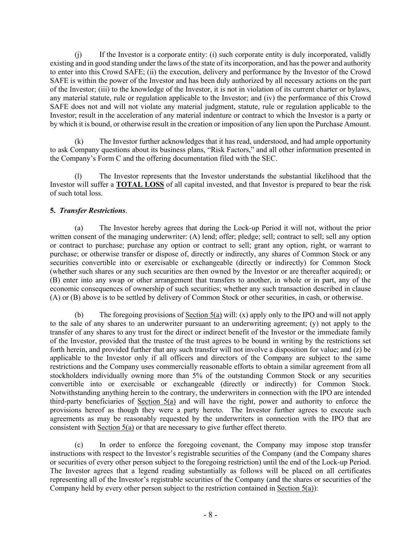(j) If the Investor is a corporate entity: (i) such corporate entity is duly incorporated, validly existing and in good standing under the laws of the state of its incorporation, and has the power and authority to enter into this Crowd SAFE; (ii) the execution, delivery and performance by the Investor of the Crowd SAFE is within the power of the Investor and has been duly authorized by all necessary actions on the part of the Investor; (iii) to the knowledge of the Investor, it is not in violation of its current charter or bylaws, any material statute, rule or regulation applicable to the Investor; and (iv) the performance of this Crowd SAFE does not and will not violate any material judgment, statute, rule or regulation applicable to the Investor; result in the acceleration of any material indenture or contract to which the Investor is a party or by which it is bound, or otherwise result in the creation or imposition of any lien upon the Purchase Amount.

(k) The Investor further acknowledges that it has read, understood, and had ample opportunity to ask Company questions about its business plans, "Risk Factors," and all other information presented in the Company's Form C and the offering documentation filed with the SEC.

(l) The Investor represents that the Investor understands the substantial likelihood that the Investor will suffer a **TOTAL LOSS** of all capital invested, and that Investor is prepared to bear the risk of such total loss.

## **5.** *Transfer Restrictions*.

(a) The Investor hereby agrees that during the Lock-up Period it will not, without the prior written consent of the managing underwriter: (A) lend; offer; pledge; sell; contract to sell; sell any option or contract to purchase; purchase any option or contract to sell; grant any option, right, or warrant to purchase; or otherwise transfer or dispose of, directly or indirectly, any shares of Common Stock or any securities convertible into or exercisable or exchangeable (directly or indirectly) for Common Stock (whether such shares or any such securities are then owned by the Investor or are thereafter acquired); or (B) enter into any swap or other arrangement that transfers to another, in whole or in part, any of the economic consequences of ownership of such securities; whether any such transaction described in clause (A) or (B) above is to be settled by delivery of Common Stock or other securities, in cash, or otherwise.

(b) The foregoing provisions of Section 5(a) will: (x) apply only to the IPO and will not apply to the sale of any shares to an underwriter pursuant to an underwriting agreement; (y) not apply to the transfer of any shares to any trust for the direct or indirect benefit of the Investor or the immediate family of the Investor, provided that the trustee of the trust agrees to be bound in writing by the restrictions set forth herein, and provided further that any such transfer will not involve a disposition for value; and (z) be applicable to the Investor only if all officers and directors of the Company are subject to the same restrictions and the Company uses commercially reasonable efforts to obtain a similar agreement from all stockholders individually owning more than 5% of the outstanding Common Stock or any securities convertible into or exercisable or exchangeable (directly or indirectly) for Common Stock. Notwithstanding anything herein to the contrary, the underwriters in connection with the IPO are intended third-party beneficiaries of Section 5(a) and will have the right, power and authority to enforce the provisions hereof as though they were a party hereto. The Investor further agrees to execute such agreements as may be reasonably requested by the underwriters in connection with the IPO that are consistent with Section 5(a) or that are necessary to give further effect thereto.

(c) In order to enforce the foregoing covenant, the Company may impose stop transfer instructions with respect to the Investor's registrable securities of the Company (and the Company shares or securities of every other person subject to the foregoing restriction) until the end of the Lock-up Period. The Investor agrees that a legend reading substantially as follows will be placed on all certificates representing all of the Investor's registrable securities of the Company (and the shares or securities of the Company held by every other person subject to the restriction contained in Section 5(a)):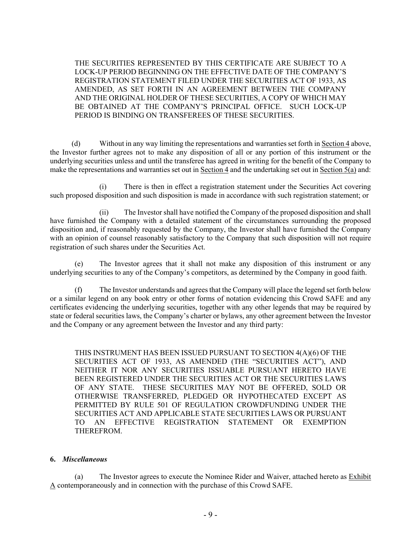THE SECURITIES REPRESENTED BY THIS CERTIFICATE ARE SUBJECT TO A LOCK-UP PERIOD BEGINNING ON THE EFFECTIVE DATE OF THE COMPANY'S REGISTRATION STATEMENT FILED UNDER THE SECURITIES ACT OF 1933, AS AMENDED, AS SET FORTH IN AN AGREEMENT BETWEEN THE COMPANY AND THE ORIGINAL HOLDER OF THESE SECURITIES, A COPY OF WHICH MAY BE OBTAINED AT THE COMPANY'S PRINCIPAL OFFICE. SUCH LOCK-UP PERIOD IS BINDING ON TRANSFEREES OF THESE SECURITIES.

(d) Without in any way limiting the representations and warranties set forth in  $Section 4$  above, the Investor further agrees not to make any disposition of all or any portion of this instrument or the underlying securities unless and until the transferee has agreed in writing for the benefit of the Company to make the representations and warranties set out in Section 4 and the undertaking set out in Section 5(a) and:

(i) There is then in effect a registration statement under the Securities Act covering such proposed disposition and such disposition is made in accordance with such registration statement; or

(ii) The Investor shall have notified the Company of the proposed disposition and shall have furnished the Company with a detailed statement of the circumstances surrounding the proposed disposition and, if reasonably requested by the Company, the Investor shall have furnished the Company with an opinion of counsel reasonably satisfactory to the Company that such disposition will not require registration of such shares under the Securities Act.

(e) The Investor agrees that it shall not make any disposition of this instrument or any underlying securities to any of the Company's competitors, as determined by the Company in good faith.

(f) The Investor understands and agrees that the Company will place the legend set forth below or a similar legend on any book entry or other forms of notation evidencing this Crowd SAFE and any certificates evidencing the underlying securities, together with any other legends that may be required by state or federal securities laws, the Company's charter or bylaws, any other agreement between the Investor and the Company or any agreement between the Investor and any third party:

THIS INSTRUMENT HAS BEEN ISSUED PURSUANT TO SECTION 4(A)(6) OF THE SECURITIES ACT OF 1933, AS AMENDED (THE "SECURITIES ACT"), AND NEITHER IT NOR ANY SECURITIES ISSUABLE PURSUANT HERETO HAVE BEEN REGISTERED UNDER THE SECURITIES ACT OR THE SECURITIES LAWS OF ANY STATE. THESE SECURITIES MAY NOT BE OFFERED, SOLD OR OTHERWISE TRANSFERRED, PLEDGED OR HYPOTHECATED EXCEPT AS PERMITTED BY RULE 501 OF REGULATION CROWDFUNDING UNDER THE SECURITIES ACT AND APPLICABLE STATE SECURITIES LAWS OR PURSUANT TO AN EFFECTIVE REGISTRATION STATEMENT OR EXEMPTION THEREFROM.

#### **6.** *Miscellaneous*

(a) The Investor agrees to execute the Nominee Rider and Waiver, attached hereto as Exhibit  $\Delta$  contemporaneously and in connection with the purchase of this Crowd SAFE.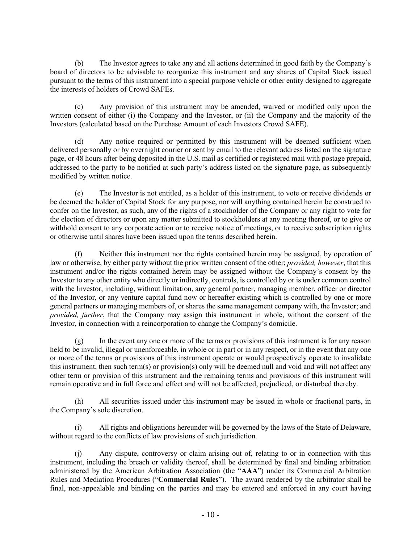(b) The Investor agrees to take any and all actions determined in good faith by the Company's board of directors to be advisable to reorganize this instrument and any shares of Capital Stock issued pursuant to the terms of this instrument into a special purpose vehicle or other entity designed to aggregate the interests of holders of Crowd SAFEs.

(c) Any provision of this instrument may be amended, waived or modified only upon the written consent of either (i) the Company and the Investor, or (ii) the Company and the majority of the Investors (calculated based on the Purchase Amount of each Investors Crowd SAFE).

(d) Any notice required or permitted by this instrument will be deemed sufficient when delivered personally or by overnight courier or sent by email to the relevant address listed on the signature page, or 48 hours after being deposited in the U.S. mail as certified or registered mail with postage prepaid, addressed to the party to be notified at such party's address listed on the signature page, as subsequently modified by written notice.

(e) The Investor is not entitled, as a holder of this instrument, to vote or receive dividends or be deemed the holder of Capital Stock for any purpose, nor will anything contained herein be construed to confer on the Investor, as such, any of the rights of a stockholder of the Company or any right to vote for the election of directors or upon any matter submitted to stockholders at any meeting thereof, or to give or withhold consent to any corporate action or to receive notice of meetings, or to receive subscription rights or otherwise until shares have been issued upon the terms described herein.

(f) Neither this instrument nor the rights contained herein may be assigned, by operation of law or otherwise, by either party without the prior written consent of the other; *provided, however*, that this instrument and/or the rights contained herein may be assigned without the Company's consent by the Investor to any other entity who directly or indirectly, controls, is controlled by or is under common control with the Investor, including, without limitation, any general partner, managing member, officer or director of the Investor, or any venture capital fund now or hereafter existing which is controlled by one or more general partners or managing members of, or shares the same management company with, the Investor; and *provided, further*, that the Company may assign this instrument in whole, without the consent of the Investor, in connection with a reincorporation to change the Company's domicile.

(g) In the event any one or more of the terms or provisions of this instrument is for any reason held to be invalid, illegal or unenforceable, in whole or in part or in any respect, or in the event that any one or more of the terms or provisions of this instrument operate or would prospectively operate to invalidate this instrument, then such term(s) or provision(s) only will be deemed null and void and will not affect any other term or provision of this instrument and the remaining terms and provisions of this instrument will remain operative and in full force and effect and will not be affected, prejudiced, or disturbed thereby.

(h) All securities issued under this instrument may be issued in whole or fractional parts, in the Company's sole discretion.

(i) All rights and obligations hereunder will be governed by the laws of the State of Delaware, without regard to the conflicts of law provisions of such jurisdiction.

(j) Any dispute, controversy or claim arising out of, relating to or in connection with this instrument, including the breach or validity thereof, shall be determined by final and binding arbitration administered by the American Arbitration Association (the "**AAA**") under its Commercial Arbitration Rules and Mediation Procedures ("**Commercial Rules**"). The award rendered by the arbitrator shall be final, non-appealable and binding on the parties and may be entered and enforced in any court having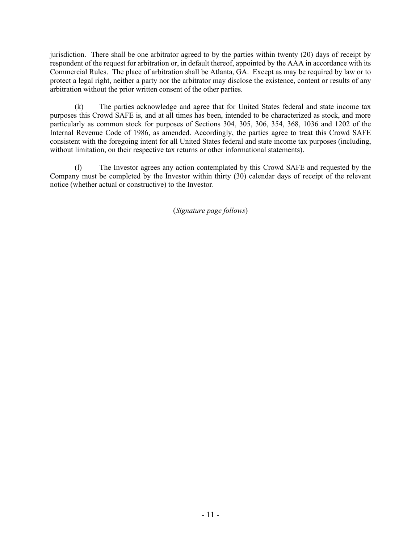jurisdiction. There shall be one arbitrator agreed to by the parties within twenty (20) days of receipt by respondent of the request for arbitration or, in default thereof, appointed by the AAA in accordance with its Commercial Rules. The place of arbitration shall be Atlanta, GA. Except as may be required by law or to protect a legal right, neither a party nor the arbitrator may disclose the existence, content or results of any arbitration without the prior written consent of the other parties.

(k) The parties acknowledge and agree that for United States federal and state income tax purposes this Crowd SAFE is, and at all times has been, intended to be characterized as stock, and more particularly as common stock for purposes of Sections 304, 305, 306, 354, 368, 1036 and 1202 of the Internal Revenue Code of 1986, as amended. Accordingly, the parties agree to treat this Crowd SAFE consistent with the foregoing intent for all United States federal and state income tax purposes (including, without limitation, on their respective tax returns or other informational statements).

(l) The Investor agrees any action contemplated by this Crowd SAFE and requested by the Company must be completed by the Investor within thirty (30) calendar days of receipt of the relevant notice (whether actual or constructive) to the Investor.

(*Signature page follows*)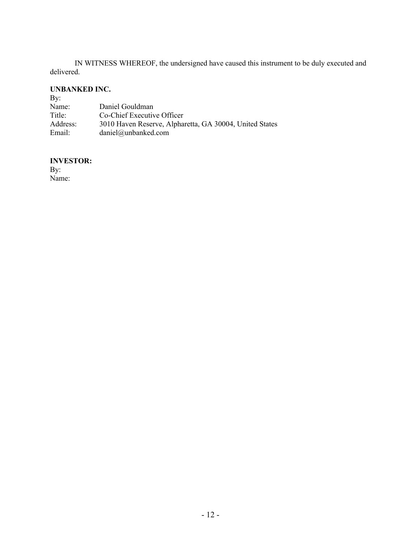IN WITNESS WHEREOF, the undersigned have caused this instrument to be duly executed and delivered.

#### **UNBANKED INC.**

| By:      |                                                         |
|----------|---------------------------------------------------------|
| Name:    | Daniel Gouldman                                         |
| Title:   | Co-Chief Executive Officer                              |
| Address: | 3010 Haven Reserve, Alpharetta, GA 30004, United States |
| Email:   | daniel@unbanked.com                                     |

# **INVESTOR:**

By: Name: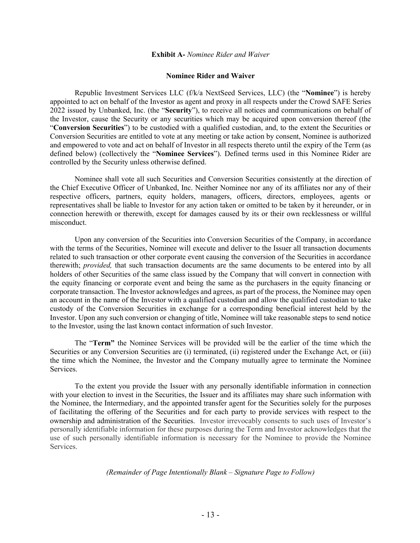#### **Exhibit A-** *Nominee Rider and Waiver*

#### **Nominee Rider and Waiver**

Republic Investment Services LLC (f/k/a NextSeed Services, LLC) (the "**Nominee**") is hereby appointed to act on behalf of the Investor as agent and proxy in all respects under the Crowd SAFE Series 2022 issued by Unbanked, Inc. (the "**Security**"), to receive all notices and communications on behalf of the Investor, cause the Security or any securities which may be acquired upon conversion thereof (the "**Conversion Securities**") to be custodied with a qualified custodian, and, to the extent the Securities or Conversion Securities are entitled to vote at any meeting or take action by consent, Nominee is authorized and empowered to vote and act on behalf of Investor in all respects thereto until the expiry of the Term (as defined below) (collectively the "**Nominee Services**"). Defined terms used in this Nominee Rider are controlled by the Security unless otherwise defined.

Nominee shall vote all such Securities and Conversion Securities consistently at the direction of the Chief Executive Officer of Unbanked, Inc. Neither Nominee nor any of its affiliates nor any of their respective officers, partners, equity holders, managers, officers, directors, employees, agents or representatives shall be liable to Investor for any action taken or omitted to be taken by it hereunder, or in connection herewith or therewith, except for damages caused by its or their own recklessness or willful misconduct.

Upon any conversion of the Securities into Conversion Securities of the Company, in accordance with the terms of the Securities, Nominee will execute and deliver to the Issuer all transaction documents related to such transaction or other corporate event causing the conversion of the Securities in accordance therewith; *provided,* that such transaction documents are the same documents to be entered into by all holders of other Securities of the same class issued by the Company that will convert in connection with the equity financing or corporate event and being the same as the purchasers in the equity financing or corporate transaction. The Investor acknowledges and agrees, as part of the process, the Nominee may open an account in the name of the Investor with a qualified custodian and allow the qualified custodian to take custody of the Conversion Securities in exchange for a corresponding beneficial interest held by the Investor. Upon any such conversion or changing of title, Nominee will take reasonable steps to send notice to the Investor, using the last known contact information of such Investor.

The "**Term"** the Nominee Services will be provided will be the earlier of the time which the Securities or any Conversion Securities are (i) terminated, (ii) registered under the Exchange Act, or (iii) the time which the Nominee, the Investor and the Company mutually agree to terminate the Nominee Services.

To the extent you provide the Issuer with any personally identifiable information in connection with your election to invest in the Securities, the Issuer and its affiliates may share such information with the Nominee, the Intermediary, and the appointed transfer agent for the Securities solely for the purposes of facilitating the offering of the Securities and for each party to provide services with respect to the ownership and administration of the Securities. Investor irrevocably consents to such uses of Investor's personally identifiable information for these purposes during the Term and Investor acknowledges that the use of such personally identifiable information is necessary for the Nominee to provide the Nominee Services.

#### *(Remainder of Page Intentionally Blank – Signature Page to Follow)*